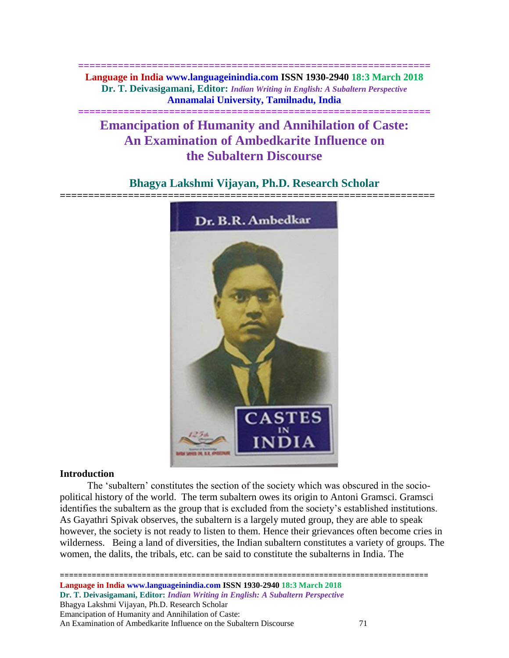**============================================================== Language in India www.languageinindia.com ISSN 1930-2940 18:3 March 2018 Dr. T. Deivasigamani, Editor:** *Indian Writing in English: A Subaltern Perspective* **Annamalai University, Tamilnadu, India**

**==============================================================**

# **Emancipation of Humanity and Annihilation of Caste: An Examination of Ambedkarite Influence on the Subaltern Discourse**

## **Bhagya Lakshmi Vijayan, Ph.D. Research Scholar**



## **Introduction**

 The 'subaltern' constitutes the section of the society which was obscured in the sociopolitical history of the world. The term subaltern owes its origin to Antoni Gramsci. Gramsci identifies the subaltern as the group that is excluded from the society's established institutions. As Gayathri Spivak observes, the subaltern is a largely muted group, they are able to speak however, the society is not ready to listen to them. Hence their grievances often become cries in wilderness. Being a land of diversities, the Indian subaltern constitutes a variety of groups. The women, the dalits, the tribals, etc. can be said to constitute the subalterns in India. The

======================== **Language in India www.languageinindia.com ISSN 1930-2940 18:3 March 2018 Dr. T. Deivasigamani, Editor:** *Indian Writing in English: A Subaltern Perspective* Bhagya Lakshmi Vijayan, Ph.D. Research Scholar Emancipation of Humanity and Annihilation of Caste: An Examination of Ambedkarite Influence on the Subaltern Discourse 71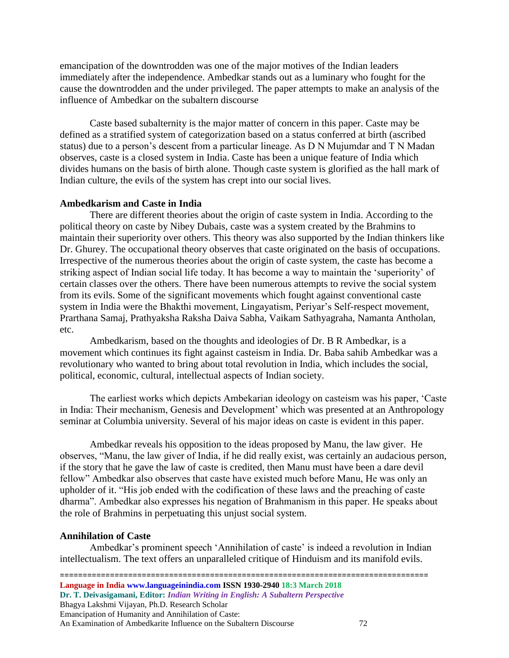emancipation of the downtrodden was one of the major motives of the Indian leaders immediately after the independence. Ambedkar stands out as a luminary who fought for the cause the downtrodden and the under privileged. The paper attempts to make an analysis of the influence of Ambedkar on the subaltern discourse

Caste based subalternity is the major matter of concern in this paper. Caste may be defined as a stratified system of categorization based on a status conferred at birth (ascribed status) due to a person's descent from a particular lineage. As D N Mujumdar and T N Madan observes, caste is a closed system in India. Caste has been a unique feature of India which divides humans on the basis of birth alone. Though caste system is glorified as the hall mark of Indian culture, the evils of the system has crept into our social lives.

## **Ambedkarism and Caste in India**

There are different theories about the origin of caste system in India. According to the political theory on caste by Nibey Dubais, caste was a system created by the Brahmins to maintain their superiority over others. This theory was also supported by the Indian thinkers like Dr. Ghurey. The occupational theory observes that caste originated on the basis of occupations. Irrespective of the numerous theories about the origin of caste system, the caste has become a striking aspect of Indian social life today. It has become a way to maintain the 'superiority' of certain classes over the others. There have been numerous attempts to revive the social system from its evils. Some of the significant movements which fought against conventional caste system in India were the Bhakthi movement, Lingayatism, Periyar's Self-respect movement, Prarthana Samaj, Prathyaksha Raksha Daiva Sabha, Vaikam Sathyagraha, Namanta Antholan, etc.

Ambedkarism, based on the thoughts and ideologies of Dr. B R Ambedkar, is a movement which continues its fight against casteism in India. Dr. Baba sahib Ambedkar was a revolutionary who wanted to bring about total revolution in India, which includes the social, political, economic, cultural, intellectual aspects of Indian society.

The earliest works which depicts Ambekarian ideology on casteism was his paper, 'Caste in India: Their mechanism, Genesis and Development' which was presented at an Anthropology seminar at Columbia university. Several of his major ideas on caste is evident in this paper.

Ambedkar reveals his opposition to the ideas proposed by Manu, the law giver. He observes, "Manu, the law giver of India, if he did really exist, was certainly an audacious person, if the story that he gave the law of caste is credited, then Manu must have been a dare devil fellow" Ambedkar also observes that caste have existed much before Manu, He was only an upholder of it. "His job ended with the codification of these laws and the preaching of caste dharma". Ambedkar also expresses his negation of Brahmanism in this paper. He speaks about the role of Brahmins in perpetuating this unjust social system.

## **Annihilation of Caste**

Ambedkar's prominent speech 'Annihilation of caste' is indeed a revolution in Indian intellectualism. The text offers an unparalleled critique of Hinduism and its manifold evils.

================================================================================= **Language in India www.languageinindia.com ISSN 1930-2940 18:3 March 2018 Dr. T. Deivasigamani, Editor:** *Indian Writing in English: A Subaltern Perspective* Bhagya Lakshmi Vijayan, Ph.D. Research Scholar Emancipation of Humanity and Annihilation of Caste: An Examination of Ambedkarite Influence on the Subaltern Discourse 72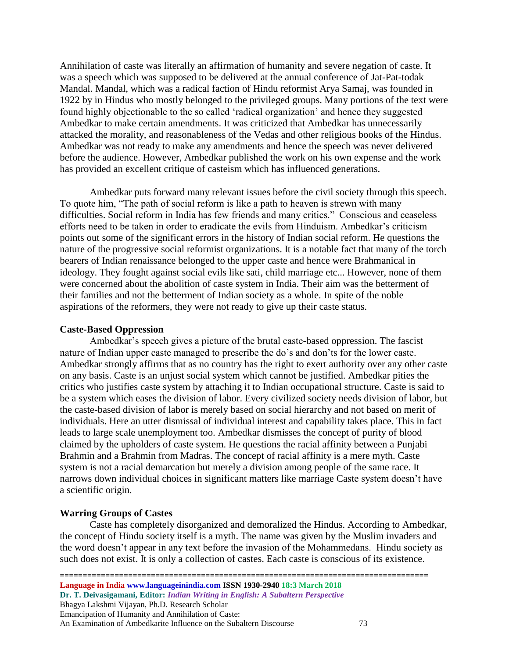Annihilation of caste was literally an affirmation of humanity and severe negation of caste. It was a speech which was supposed to be delivered at the annual conference of Jat-Pat-todak Mandal. Mandal, which was a radical faction of Hindu reformist Arya Samaj, was founded in 1922 by in Hindus who mostly belonged to the privileged groups. Many portions of the text were found highly objectionable to the so called 'radical organization' and hence they suggested Ambedkar to make certain amendments. It was criticized that Ambedkar has unnecessarily attacked the morality, and reasonableness of the Vedas and other religious books of the Hindus. Ambedkar was not ready to make any amendments and hence the speech was never delivered before the audience. However, Ambedkar published the work on his own expense and the work has provided an excellent critique of casteism which has influenced generations.

Ambedkar puts forward many relevant issues before the civil society through this speech. To quote him, "The path of social reform is like a path to heaven is strewn with many difficulties. Social reform in India has few friends and many critics." Conscious and ceaseless efforts need to be taken in order to eradicate the evils from Hinduism. Ambedkar's criticism points out some of the significant errors in the history of Indian social reform. He questions the nature of the progressive social reformist organizations. It is a notable fact that many of the torch bearers of Indian renaissance belonged to the upper caste and hence were Brahmanical in ideology. They fought against social evils like sati, child marriage etc... However, none of them were concerned about the abolition of caste system in India. Their aim was the betterment of their families and not the betterment of Indian society as a whole. In spite of the noble aspirations of the reformers, they were not ready to give up their caste status.

## **Caste-Based Oppression**

Ambedkar's speech gives a picture of the brutal caste-based oppression. The fascist nature of Indian upper caste managed to prescribe the do's and don'ts for the lower caste. Ambedkar strongly affirms that as no country has the right to exert authority over any other caste on any basis. Caste is an unjust social system which cannot be justified. Ambedkar pities the critics who justifies caste system by attaching it to Indian occupational structure. Caste is said to be a system which eases the division of labor. Every civilized society needs division of labor, but the caste-based division of labor is merely based on social hierarchy and not based on merit of individuals. Here an utter dismissal of individual interest and capability takes place. This in fact leads to large scale unemployment too. Ambedkar dismisses the concept of purity of blood claimed by the upholders of caste system. He questions the racial affinity between a Punjabi Brahmin and a Brahmin from Madras. The concept of racial affinity is a mere myth. Caste system is not a racial demarcation but merely a division among people of the same race. It narrows down individual choices in significant matters like marriage Caste system doesn't have a scientific origin.

## **Warring Groups of Castes**

Caste has completely disorganized and demoralized the Hindus. According to Ambedkar, the concept of Hindu society itself is a myth. The name was given by the Muslim invaders and the word doesn't appear in any text before the invasion of the Mohammedans. Hindu society as such does not exist. It is only a collection of castes. Each caste is conscious of its existence.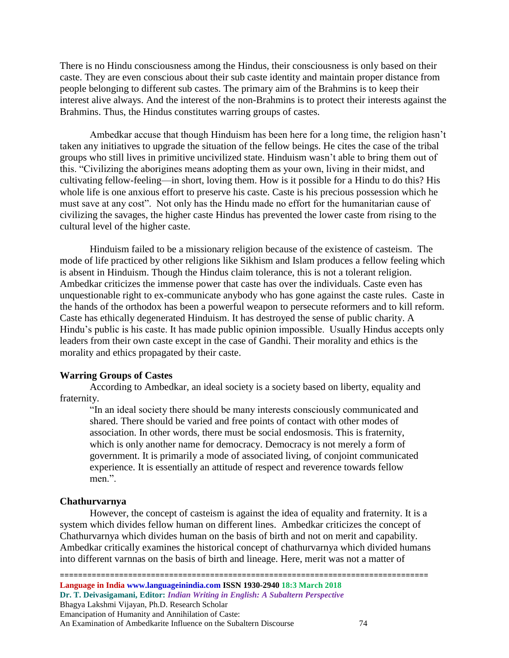There is no Hindu consciousness among the Hindus, their consciousness is only based on their caste. They are even conscious about their sub caste identity and maintain proper distance from people belonging to different sub castes. The primary aim of the Brahmins is to keep their interest alive always. And the interest of the non-Brahmins is to protect their interests against the Brahmins. Thus, the Hindus constitutes warring groups of castes.

Ambedkar accuse that though Hinduism has been here for a long time, the religion hasn't taken any initiatives to upgrade the situation of the fellow beings. He cites the case of the tribal groups who still lives in primitive uncivilized state. Hinduism wasn't able to bring them out of this. "Civilizing the aborigines means adopting them as your own, living in their midst, and cultivating fellow-feeling—in short, loving them. How is it possible for a Hindu to do this? His whole life is one anxious effort to preserve his caste. Caste is his precious possession which he must save at any cost". Not only has the Hindu made no effort for the humanitarian cause of civilizing the savages, the higher caste Hindus has prevented the lower caste from rising to the cultural level of the higher caste.

Hinduism failed to be a missionary religion because of the existence of casteism. The mode of life practiced by other religions like Sikhism and Islam produces a fellow feeling which is absent in Hinduism. Though the Hindus claim tolerance, this is not a tolerant religion. Ambedkar criticizes the immense power that caste has over the individuals. Caste even has unquestionable right to ex-communicate anybody who has gone against the caste rules. Caste in the hands of the orthodox has been a powerful weapon to persecute reformers and to kill reform. Caste has ethically degenerated Hinduism. It has destroyed the sense of public charity. A Hindu's public is his caste. It has made public opinion impossible. Usually Hindus accepts only leaders from their own caste except in the case of Gandhi. Their morality and ethics is the morality and ethics propagated by their caste.

## **Warring Groups of Castes**

According to Ambedkar, an ideal society is a society based on liberty, equality and fraternity.

"In an ideal society there should be many interests consciously communicated and shared. There should be varied and free points of contact with other modes of association. In other words, there must be social endosmosis. This is fraternity, which is only another name for democracy. Democracy is not merely a form of government. It is primarily a mode of associated living, of conjoint communicated experience. It is essentially an attitude of respect and reverence towards fellow men.".

#### **Chathurvarnya**

However, the concept of casteism is against the idea of equality and fraternity. It is a system which divides fellow human on different lines. Ambedkar criticizes the concept of Chathurvarnya which divides human on the basis of birth and not on merit and capability. Ambedkar critically examines the historical concept of chathurvarnya which divided humans into different varnnas on the basis of birth and lineage. Here, merit was not a matter of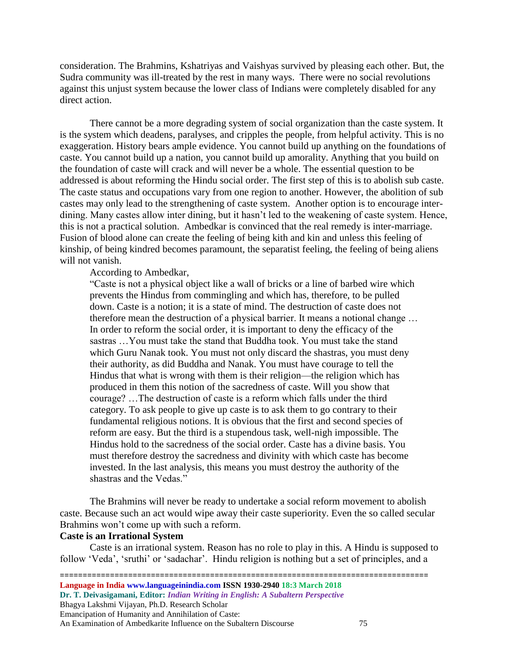consideration. The Brahmins, Kshatriyas and Vaishyas survived by pleasing each other. But, the Sudra community was ill-treated by the rest in many ways. There were no social revolutions against this unjust system because the lower class of Indians were completely disabled for any direct action.

There cannot be a more degrading system of social organization than the caste system. It is the system which deadens, paralyses, and cripples the people, from helpful activity. This is no exaggeration. History bears ample evidence. You cannot build up anything on the foundations of caste. You cannot build up a nation, you cannot build up amorality. Anything that you build on the foundation of caste will crack and will never be a whole. The essential question to be addressed is about reforming the Hindu social order. The first step of this is to abolish sub caste. The caste status and occupations vary from one region to another. However, the abolition of sub castes may only lead to the strengthening of caste system. Another option is to encourage interdining. Many castes allow inter dining, but it hasn't led to the weakening of caste system. Hence, this is not a practical solution. Ambedkar is convinced that the real remedy is inter-marriage. Fusion of blood alone can create the feeling of being kith and kin and unless this feeling of kinship, of being kindred becomes paramount, the separatist feeling, the feeling of being aliens will not vanish.

## According to Ambedkar,

"Caste is not a physical object like a wall of bricks or a line of barbed wire which prevents the Hindus from commingling and which has, therefore, to be pulled down. Caste is a notion; it is a state of mind. The destruction of caste does not therefore mean the destruction of a physical barrier. It means a notional change … In order to reform the social order, it is important to deny the efficacy of the sastras …You must take the stand that Buddha took. You must take the stand which Guru Nanak took. You must not only discard the shastras, you must deny their authority, as did Buddha and Nanak. You must have courage to tell the Hindus that what is wrong with them is their religion—the religion which has produced in them this notion of the sacredness of caste. Will you show that courage? …The destruction of caste is a reform which falls under the third category. To ask people to give up caste is to ask them to go contrary to their fundamental religious notions. It is obvious that the first and second species of reform are easy. But the third is a stupendous task, well-nigh impossible. The Hindus hold to the sacredness of the social order. Caste has a divine basis. You must therefore destroy the sacredness and divinity with which caste has become invested. In the last analysis, this means you must destroy the authority of the shastras and the Vedas."

The Brahmins will never be ready to undertake a social reform movement to abolish caste. Because such an act would wipe away their caste superiority. Even the so called secular Brahmins won't come up with such a reform.

## **Caste is an Irrational System**

Caste is an irrational system. Reason has no role to play in this. A Hindu is supposed to follow 'Veda', 'sruthi' or 'sadachar'. Hindu religion is nothing but a set of principles, and a

================================================================================= **Language in India www.languageinindia.com ISSN 1930-2940 18:3 March 2018 Dr. T. Deivasigamani, Editor:** *Indian Writing in English: A Subaltern Perspective* Bhagya Lakshmi Vijayan, Ph.D. Research Scholar Emancipation of Humanity and Annihilation of Caste: An Examination of Ambedkarite Influence on the Subaltern Discourse 75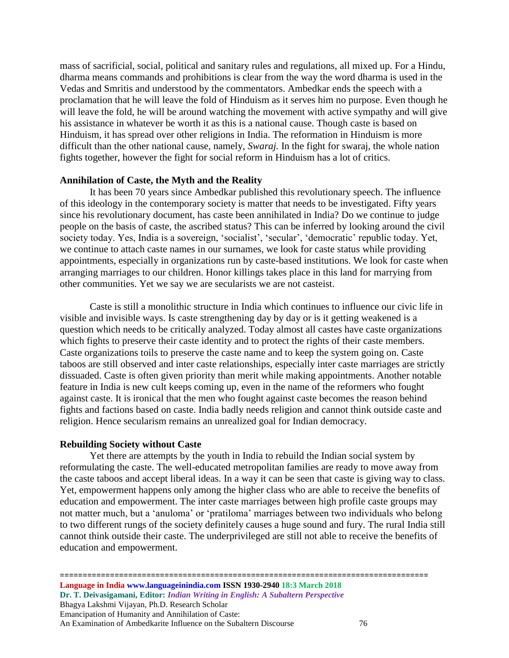mass of sacrificial, social, political and sanitary rules and regulations, all mixed up. For a Hindu, dharma means commands and prohibitions is clear from the way the word dharma is used in the Vedas and Smritis and understood by the commentators. Ambedkar ends the speech with a proclamation that he will leave the fold of Hinduism as it serves him no purpose. Even though he will leave the fold, he will be around watching the movement with active sympathy and will give his assistance in whatever be worth it as this is a national cause. Though caste is based on Hinduism, it has spread over other religions in India. The reformation in Hinduism is more difficult than the other national cause, namely, *Swaraj.* In the fight for swaraj, the whole nation fights together, however the fight for social reform in Hinduism has a lot of critics.

## **Annihilation of Caste, the Myth and the Reality**

It has been 70 years since Ambedkar published this revolutionary speech. The influence of this ideology in the contemporary society is matter that needs to be investigated. Fifty years since his revolutionary document, has caste been annihilated in India? Do we continue to judge people on the basis of caste, the ascribed status? This can be inferred by looking around the civil society today. Yes, India is a sovereign, 'socialist', 'secular', 'democratic' republic today. Yet, we continue to attach caste names in our surnames, we look for caste status while providing appointments, especially in organizations run by caste-based institutions. We look for caste when arranging marriages to our children. Honor killings takes place in this land for marrying from other communities. Yet we say we are secularists we are not casteist.

Caste is still a monolithic structure in India which continues to influence our civic life in visible and invisible ways. Is caste strengthening day by day or is it getting weakened is a question which needs to be critically analyzed. Today almost all castes have caste organizations which fights to preserve their caste identity and to protect the rights of their caste members. Caste organizations toils to preserve the caste name and to keep the system going on. Caste taboos are still observed and inter caste relationships, especially inter caste marriages are strictly dissuaded. Caste is often given priority than merit while making appointments. Another notable feature in India is new cult keeps coming up, even in the name of the reformers who fought against caste. It is ironical that the men who fought against caste becomes the reason behind fights and factions based on caste. India badly needs religion and cannot think outside caste and religion. Hence secularism remains an unrealized goal for Indian democracy.

### **Rebuilding Society without Caste**

Yet there are attempts by the youth in India to rebuild the Indian social system by reformulating the caste. The well-educated metropolitan families are ready to move away from the caste taboos and accept liberal ideas. In a way it can be seen that caste is giving way to class. Yet, empowerment happens only among the higher class who are able to receive the benefits of education and empowerment. The inter caste marriages between high profile caste groups may not matter much, but a 'anuloma' or 'pratiloma' marriages between two individuals who belong to two different rungs of the society definitely causes a huge sound and fury. The rural India still cannot think outside their caste. The underprivileged are still not able to receive the benefits of education and empowerment.

================================================================================= **Language in India www.languageinindia.com ISSN 1930-2940 18:3 March 2018 Dr. T. Deivasigamani, Editor:** *Indian Writing in English: A Subaltern Perspective* Bhagya Lakshmi Vijayan, Ph.D. Research Scholar Emancipation of Humanity and Annihilation of Caste: An Examination of Ambedkarite Influence on the Subaltern Discourse  $\frac{76}{6}$